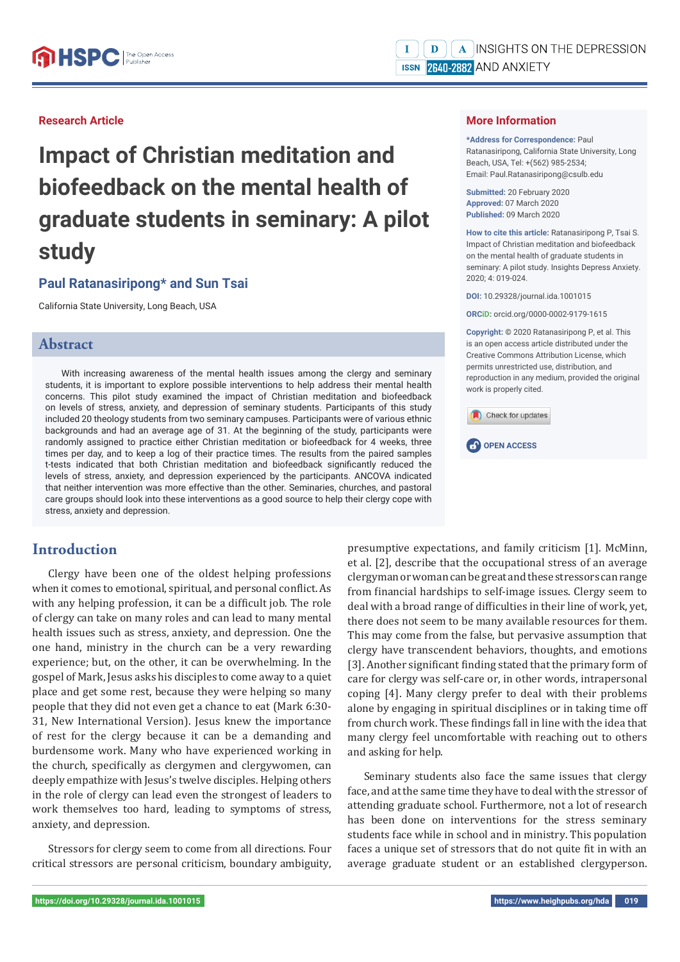## **Research Article**

**Impact of Christian meditation and biofeedback on the mental health of graduate students in seminary: A pilot study**

# **Paul Ratanasiripong\* and Sun Tsai**

California State University, Long Beach, USA

## **Abstract**

With increasing awareness of the mental health issues among the clergy and seminary students, it is important to explore possible interventions to help address their mental health concerns. This pilot study examined the impact of Christian meditation and biofeedback on levels of stress, anxiety, and depression of seminary students. Participants of this study included 20 theology students from two seminary campuses. Participants were of various ethnic backgrounds and had an average age of 31. At the beginning of the study, participants were randomly assigned to practice either Christian meditation or biofeedback for 4 weeks, three times per day, and to keep a log of their practice times. The results from the paired samples t-tests indicated that both Christian meditation and biofeedback significantly reduced the levels of stress, anxiety, and depression experienced by the participants. ANCOVA indicated that neither intervention was more effective than the other. Seminaries, churches, and pastoral care groups should look into these interventions as a good source to help their clergy cope with stress, anxiety and depression.

# **Introduction**

Clergy have been one of the oldest helping professions when it comes to emotional, spiritual, and personal conflict. As with any helping profession, it can be a difficult job. The role of clergy can take on many roles and can lead to many mental health issues such as stress, anxiety, and depression. One the one hand, ministry in the church can be a very rewarding experience; but, on the other, it can be overwhelming. In the gospel of Mark, Jesus asks his disciples to come away to a quiet place and get some rest, because they were helping so many people that they did not even get a chance to eat (Mark 6:30- 31, New International Version). Jesus knew the importance of rest for the clergy because it can be a demanding and burdensome work. Many who have experienced working in the church, specifically as clergymen and clergywomen, can deeply empathize with Jesus's twelve disciples. Helping others in the role of clergy can lead even the strongest of leaders to work themselves too hard, leading to symptoms of stress, anxiety, and depression.

Stressors for clergy seem to come from all directions. Four critical stressors are personal criticism, boundary ambiguity,

## **More Information**

**\*Address for Correspondence:** Paul Ratanasiripong, California State University, Long Beach, USA, Tel: +(562) 985‐2534; Email: Paul.Ratanasiripong@csulb.edu

**Submitted:** 20 February 2020 **Approved:** 07 March 2020 **Published:** 09 March 2020

**How to cite this article:** Ratanasiripong P, Tsai S. Impact of Christian meditation and biofeedback on the mental health of graduate students in seminary: A pilot study. Insights Depress Anxiety. 2020; 4: 019-024.

**DOI:** 10.29328/journal.ida.1001015

**ORCiD:** orcid.org/0000‐0002‐9179‐1615

**Copyright: ©** 2020 Ratanasiripong P, et al. This is an open access article distributed under the Creative Commons Attribution License, which permits unrestricted use, distribution, and reproduction in any medium, provided the original work is properly cited.





presumptive expectations, and family criticism [1]. McMinn, et al. [2], describe that the occupational stress of an average clergyman or woman can be great and these stressors can range from financial hardships to self-image issues. Clergy seem to deal with a broad range of difficulties in their line of work, yet, there does not seem to be many available resources for them. This may come from the false, but pervasive assumption that clergy have transcendent behaviors, thoughts, and emotions [3]. Another significant finding stated that the primary form of care for clergy was self-care or, in other words, intrapersonal coping [4]. Many clergy prefer to deal with their problems alone by engaging in spiritual disciplines or in taking time off from church work. These findings fall in line with the idea that many clergy feel uncomfortable with reaching out to others and asking for help.

Seminary students also face the same issues that clergy face, and at the same time they have to deal with the stressor of attending graduate school. Furthermore, not a lot of research has been done on interventions for the stress seminary students face while in school and in ministry. This population faces a unique set of stressors that do not quite fit in with an average graduate student or an established clergyperson.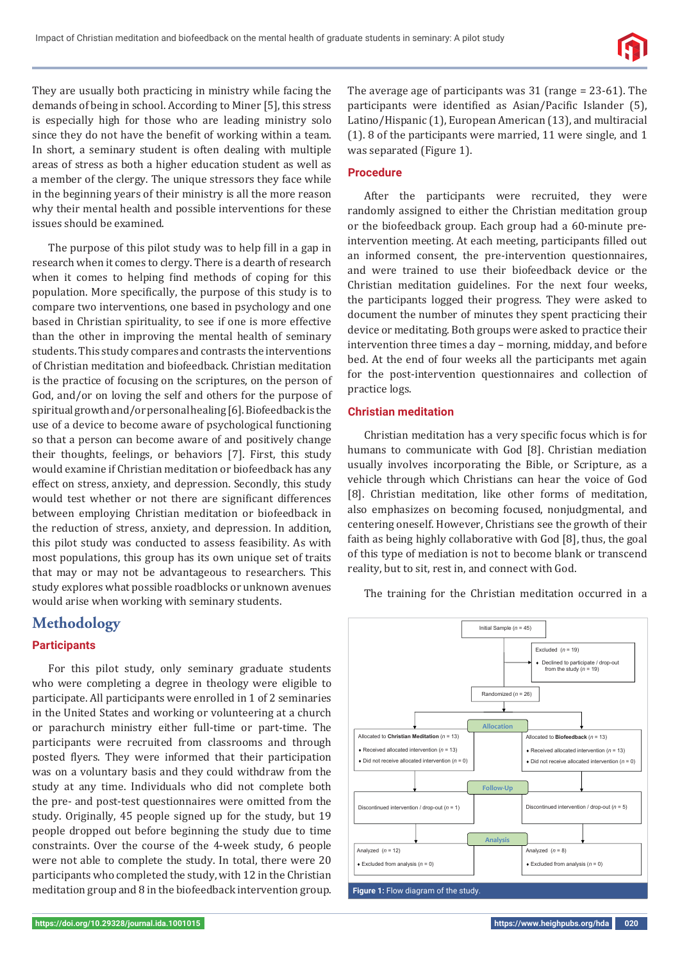

They are usually both practicing in ministry while facing the demands of being in school. According to Miner [5], this stress is especially high for those who are leading ministry solo since they do not have the benefit of working within a team. In short, a seminary student is often dealing with multiple areas of stress as both a higher education student as well as a member of the clergy. The unique stressors they face while in the beginning years of their ministry is all the more reason why their mental health and possible interventions for these issues should be examined.

The purpose of this pilot study was to help fill in a gap in research when it comes to clergy. There is a dearth of research when it comes to helping find methods of coping for this population. More specifically, the purpose of this study is to compare two interventions, one based in psychology and one based in Christian spirituality, to see if one is more effective than the other in improving the mental health of seminary students. This study compares and contrasts the interventions of Christian meditation and biofeedback. Christian meditation is the practice of focusing on the scriptures, on the person of God, and/or on loving the self and others for the purpose of spiritual growth and/or personal healing [6]. Biofeedback is the use of a device to become aware of psychological functioning so that a person can become aware of and positively change their thoughts, feelings, or behaviors [7]. First, this study would examine if Christian meditation or biofeedback has any effect on stress, anxiety, and depression. Secondly, this study would test whether or not there are significant differences between employing Christian meditation or biofeedback in the reduction of stress, anxiety, and depression. In addition, this pilot study was conducted to assess feasibility. As with most populations, this group has its own unique set of traits that may or may not be advantageous to researchers. This study explores what possible roadblocks or unknown avenues would arise when working with seminary students.

# **Methodology**

### **Participants**

For this pilot study, only seminary graduate students who were completing a degree in theology were eligible to participate. All participants were enrolled in 1 of 2 seminaries in the United States and working or volunteering at a church or parachurch ministry either full-time or part-time. The participants were recruited from classrooms and through posted flyers. They were informed that their participation was on a voluntary basis and they could withdraw from the study at any time. Individuals who did not complete both the pre- and post-test questionnaires were omitted from the study. Originally, 45 people signed up for the study, but 19 people dropped out before beginning the study due to time constraints. Over the course of the 4-week study, 6 people were not able to complete the study. In total, there were 20 participants who completed the study, with 12 in the Christian meditation group and 8 in the biofeedback intervention group.

The average age of participants was 31 (range = 23-61). The participants were identified as Asian/Pacific Islander (5), Latino/Hispanic (1), European American (13), and multiracial (1). 8 of the participants were married, 11 were single, and 1 was separated (Figure 1).

### **Procedure**

After the participants were recruited, they were randomly assigned to either the Christian meditation group or the biofeedback group. Each group had a 60-minute preintervention meeting. At each meeting, participants filled out an informed consent, the pre-intervention questionnaires, and were trained to use their biofeedback device or the Christian meditation guidelines. For the next four weeks, the participants logged their progress. They were asked to document the number of minutes they spent practicing their device or meditating. Both groups were asked to practice their intervention three times a day – morning, midday, and before bed. At the end of four weeks all the participants met again for the post-intervention questionnaires and collection of practice logs.

### **Christian meditation**

Christian meditation has a very specific focus which is for humans to communicate with God [8]. Christian mediation usually involves incorporating the Bible, or Scripture, as a vehicle through which Christians can hear the voice of God [8]. Christian meditation, like other forms of meditation, also emphasizes on becoming focused, nonjudgmental, and centering oneself. However, Christians see the growth of their faith as being highly collaborative with God [8], thus, the goal of this type of mediation is not to become blank or transcend reality, but to sit, rest in, and connect with God.

The training for the Christian meditation occurred in a

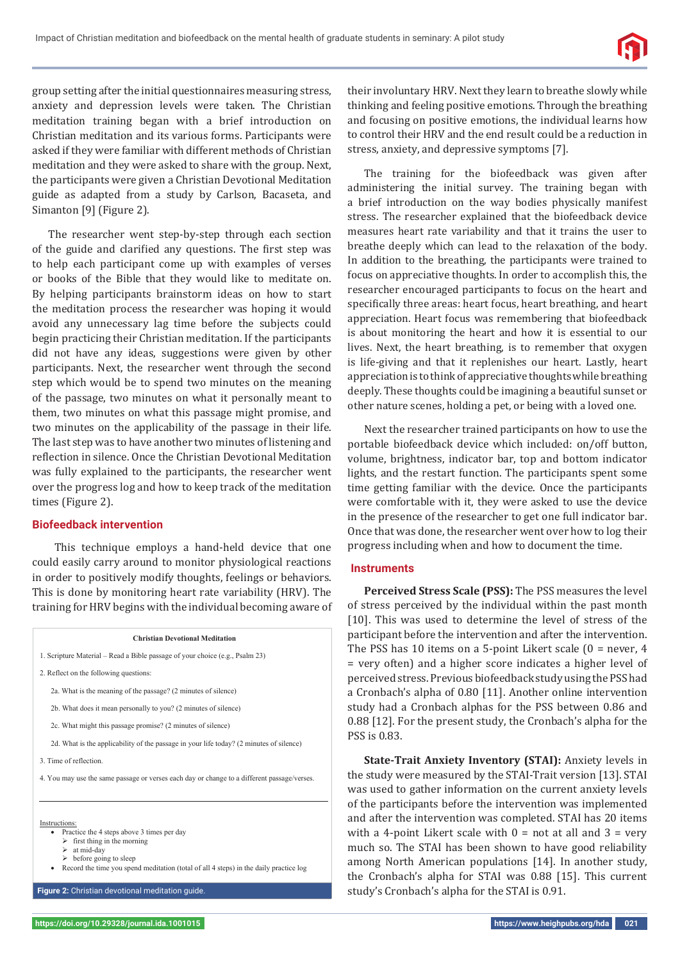

group setting after the initial questionnaires measuring stress, anxiety and depression levels were taken. The Christian meditation training began with a brief introduction on Christian meditation and its various forms. Participants were asked if they were familiar with different methods of Christian meditation and they were asked to share with the group. Next, the participants were given a Christian Devotional Meditation guide as adapted from a study by Carlson, Bacaseta, and Simanton [9] (Figure 2).

The researcher went step-by-step through each section of the guide and clarified any questions. The first step was to help each participant come up with examples of verses or books of the Bible that they would like to meditate on. By helping participants brainstorm ideas on how to start the meditation process the researcher was hoping it would avoid any unnecessary lag time before the subjects could begin practicing their Christian meditation. If the participants did not have any ideas, suggestions were given by other participants. Next, the researcher went through the second step which would be to spend two minutes on the meaning of the passage, two minutes on what it personally meant to them, two minutes on what this passage might promise, and two minutes on the applicability of the passage in their life. The last step was to have another two minutes of listening and reflection in silence. Once the Christian Devotional Meditation was fully explained to the participants, the researcher went over the progress log and how to keep track of the meditation times (Figure 2).

### **Biofeedback intervention**

 This technique employs a hand-held device that one could easily carry around to monitor physiological reactions in order to positively modify thoughts, feelings or behaviors. This is done by monitoring heart rate variability (HRV). The training for HRV begins with the individual becoming aware of

#### **Christian Devotional Meditation**

- 1. Scripture Material Read a Bible passage of your choice (e.g., Psalm 23)
- 2. Reflect on the following questions:
	- 2a. What is the meaning of the passage? (2 minutes of silence)
	- 2b. What does it mean personally to you? (2 minutes of silence)
	- 2c. What might this passage promise? (2 minutes of silence)
	- 2d. What is the applicability of the passage in your life today? (2 minutes of silence)

3. Time of reflection.

4. You may use the same passage or verses each day or change to a different passage/verses.

#### Instructions:

- $\overline{\bullet}$  Practice the 4 steps above 3 times per day
	- $\triangleright$  first thing in the morning at mid-day
	- $\triangleright$  before going to sleep
- Record the time you spend meditation (total of all 4 steps) in the daily practice log

**Figure 2:** Christian devotional meditation guide.

their involuntary HRV. Next they learn to breathe slowly while thinking and feeling positive emotions. Through the breathing and focusing on positive emotions, the individual learns how to control their HRV and the end result could be a reduction in stress, anxiety, and depressive symptoms [7].

The training for the biofeedback was given after administering the initial survey. The training began with a brief introduction on the way bodies physically manifest stress. The researcher explained that the biofeedback device measures heart rate variability and that it trains the user to breathe deeply which can lead to the relaxation of the body. In addition to the breathing, the participants were trained to focus on appreciative thoughts. In order to accomplish this, the researcher encouraged participants to focus on the heart and specifically three areas: heart focus, heart breathing, and heart appreciation. Heart focus was remembering that biofeedback is about monitoring the heart and how it is essential to our lives. Next, the heart breathing, is to remember that oxygen is life-giving and that it replenishes our heart. Lastly, heart appreciation is to think of appreciative thoughts while breathing deeply. These thoughts could be imagining a beautiful sunset or other nature scenes, holding a pet, or being with a loved one.

Next the researcher trained participants on how to use the portable biofeedback device which included: on/off button, volume, brightness, indicator bar, top and bottom indicator lights, and the restart function. The participants spent some time getting familiar with the device. Once the participants were comfortable with it, they were asked to use the device in the presence of the researcher to get one full indicator bar. Once that was done, the researcher went over how to log their progress including when and how to document the time.

## **Instruments**

**Perceived Stress Scale (PSS):** The PSS measures the level of stress perceived by the individual within the past month [10]. This was used to determine the level of stress of the participant before the intervention and after the intervention. The PSS has 10 items on a 5-point Likert scale (0 = never, 4 = very often) and a higher score indicates a higher level of perceived stress. Previous biofeedback study using the PSS had a Cronbach's alpha of 0.80 [11]. Another online intervention study had a Cronbach alphas for the PSS between 0.86 and 0.88 [12]. For the present study, the Cronbach's alpha for the PSS is 0.83.

**State-Trait Anxiety Inventory (STAI):** Anxiety levels in the study were measured by the STAI-Trait version [13]. STAI was used to gather information on the current anxiety levels of the participants before the intervention was implemented and after the intervention was completed. STAI has 20 items with a 4-point Likert scale with  $0 =$  not at all and  $3 =$  very much so. The STAI has been shown to have good reliability among North American populations [14]. In another study, the Cronbach's alpha for STAI was 0.88 [15]. This current study's Cronbach's alpha for the STAI is 0.91.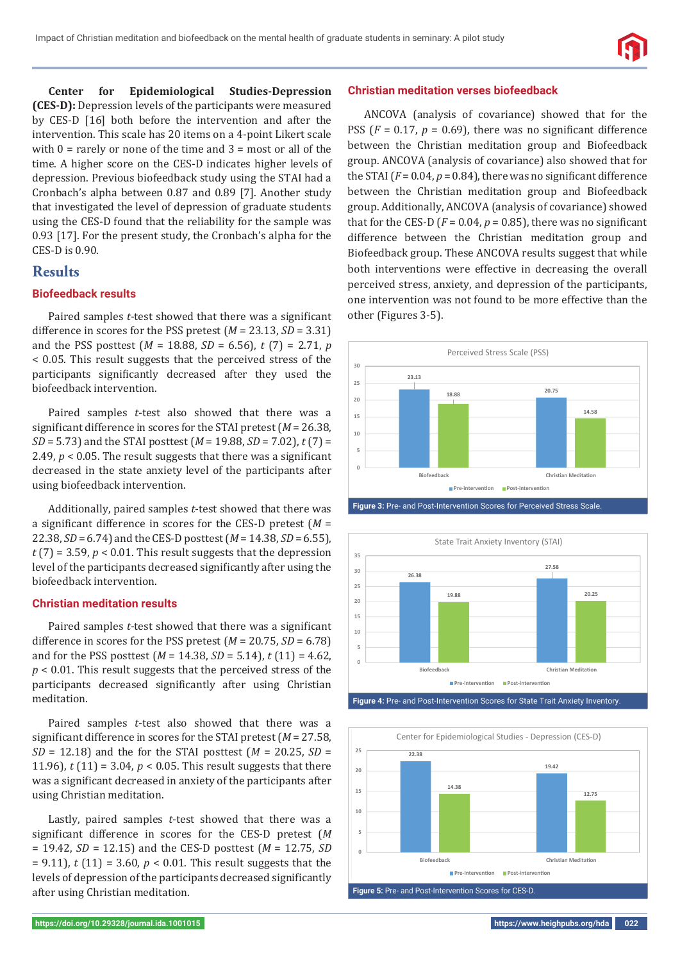**Center for Epidemiological Studies-Depression (CES-D):** Depression levels of the participants were measured by CES-D [16] both before the intervention and after the intervention. This scale has 20 items on a 4-point Likert scale with  $0 =$  rarely or none of the time and  $3 =$  most or all of the time. A higher score on the CES-D indicates higher levels of depression. Previous biofeedback study using the STAI had a Cronbach's alpha between 0.87 and 0.89 [7]. Another study that investigated the level of depression of graduate students using the CES-D found that the reliability for the sample was 0.93 [17]. For the present study, the Cronbach's alpha for the CES-D is 0.90.

# **Results**

## **Biofeedback results**

Paired samples *t*-test showed that there was a significant difference in scores for the PSS pretest (*M* = 23.13, *SD* = 3.31) and the PSS posttest (*M* = 18.88, *SD* = 6.56), *t* (7) = 2.71, *p*  < 0.05. This result suggests that the perceived stress of the participants significantly decreased after they used the biofeedback intervention.

Paired samples *t*-test also showed that there was a significant difference in scores for the STAI pretest ( $M = 26.38$ , *SD* = 5.73) and the STAI posttest (*M* = 19.88, *SD* = 7.02), *t* (7) = 2.49,  $p < 0.05$ . The result suggests that there was a significant decreased in the state anxiety level of the participants after using biofeedback intervention.

Additionally, paired samples *t*-test showed that there was a significant difference in scores for the CES-D pretest  $(M =$ 22.38, *SD* = 6.74) and the CES-D posttest (*M* = 14.38, *SD* = 6.55),  $t$  (7) = 3.59,  $p$  < 0.01. This result suggests that the depression level of the participants decreased significantly after using the biofeedback intervention.

### **Christian meditation results**

Paired samples *t*-test showed that there was a significant difference in scores for the PSS pretest  $(M = 20.75, SD = 6.78)$ and for the PSS posttest (*M* = 14.38, *SD* = 5.14), *t* (11) = 4.62, *p* < 0.01. This result suggests that the perceived stress of the participants decreased significantly after using Christian meditation.

Paired samples *t*-test also showed that there was a significant difference in scores for the STAI pretest ( $M = 27.58$ ). *SD* = 12.18) and the for the STAI posttest (*M* = 20.25, *SD* = 11.96), *t* (11) = 3.04, *p* < 0.05. This result suggests that there was a significant decreased in anxiety of the participants after using Christian meditation.

Lastly, paired samples *t*-test showed that there was a significant difference in scores for the CES-D pretest (*M* = 19.42, *SD* = 12.15) and the CES-D posttest (*M* = 12.75, *SD*  = 9.11), *t* (11) = 3.60, *p* < 0.01. This result suggests that the levels of depression of the participants decreased significantly after using Christian meditation.

### **Christian meditation verses biofeedback**

ANCOVA (analysis of covariance) showed that for the PSS ( $F = 0.17$ ,  $p = 0.69$ ), there was no significant difference between the Christian meditation group and Biofeedback group. ANCOVA (analysis of covariance) also showed that for the STAI  $(F = 0.04, p = 0.84)$ , there was no significant difference between the Christian meditation group and Biofeedback group. Additionally, ANCOVA (analysis of covariance) showed that for the CES-D ( $F = 0.04$ ,  $p = 0.85$ ), there was no significant difference between the Christian meditation group and Biofeedback group. These ANCOVA results suggest that while both interventions were effective in decreasing the overall perceived stress, anxiety, and depression of the participants, one intervention was not found to be more effective than the other (Figures 3-5).







**Figure 4:** Pre- and Post-Intervention Scores for State Trait Anxiety Inventory.

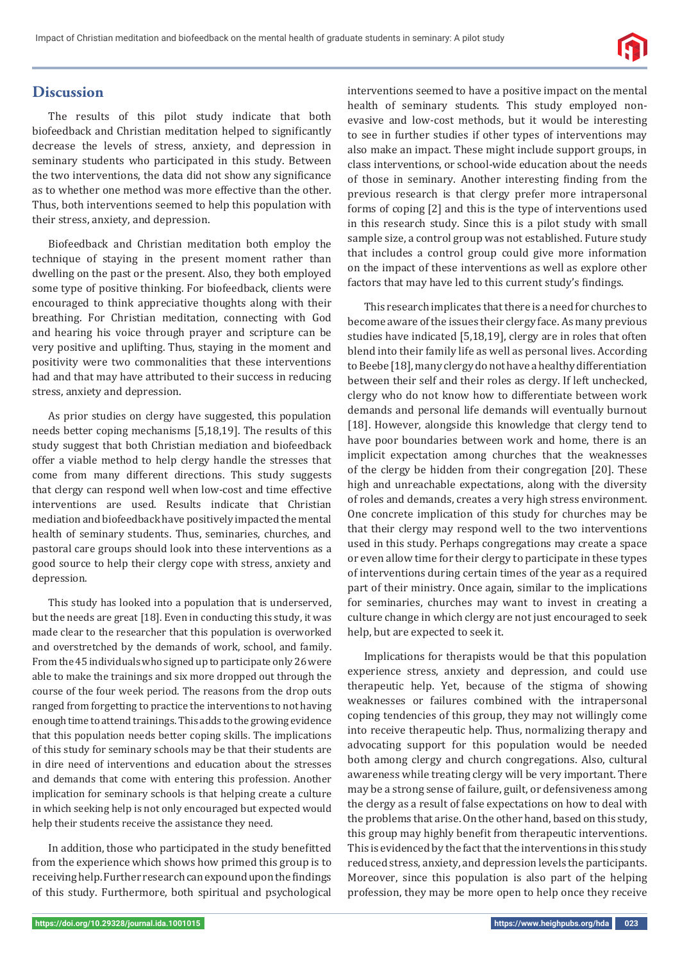

## **Discussion**

The results of this pilot study indicate that both biofeedback and Christian meditation helped to significantly decrease the levels of stress, anxiety, and depression in seminary students who participated in this study. Between the two interventions, the data did not show any significance as to whether one method was more effective than the other. Thus, both interventions seemed to help this population with their stress, anxiety, and depression.

Biofeedback and Christian meditation both employ the technique of staying in the present moment rather than dwelling on the past or the present. Also, they both employed some type of positive thinking. For biofeedback, clients were encouraged to think appreciative thoughts along with their breathing. For Christian meditation, connecting with God and hearing his voice through prayer and scripture can be very positive and uplifting. Thus, staying in the moment and positivity were two commonalities that these interventions had and that may have attributed to their success in reducing stress, anxiety and depression.

As prior studies on clergy have suggested, this population needs better coping mechanisms [5,18,19]. The results of this study suggest that both Christian mediation and biofeedback offer a viable method to help clergy handle the stresses that come from many different directions. This study suggests that clergy can respond well when low-cost and time effective interventions are used. Results indicate that Christian mediation and biofeedback have positively impacted the mental health of seminary students. Thus, seminaries, churches, and pastoral care groups should look into these interventions as a good source to help their clergy cope with stress, anxiety and depression.

This study has looked into a population that is underserved, but the needs are great [18]. Even in conducting this study, it was made clear to the researcher that this population is overworked and overstretched by the demands of work, school, and family. From the 45 individuals who signed up to participate only 26 were able to make the trainings and six more dropped out through the course of the four week period. The reasons from the drop outs ranged from forgetting to practice the interventions to not having enough time to attend trainings. This adds to the growing evidence that this population needs better coping skills. The implications of this study for seminary schools may be that their students are in dire need of interventions and education about the stresses and demands that come with entering this profession. Another implication for seminary schools is that helping create a culture in which seeking help is not only encouraged but expected would help their students receive the assistance they need.

In addition, those who participated in the study benefitted from the experience which shows how primed this group is to receiving help. Further research can expound upon the findings of this study. Furthermore, both spiritual and psychological interventions seemed to have a positive impact on the mental health of seminary students. This study employed nonevasive and low-cost methods, but it would be interesting to see in further studies if other types of interventions may also make an impact. These might include support groups, in class interventions, or school-wide education about the needs of those in seminary. Another interesting finding from the previous research is that clergy prefer more intrapersonal forms of coping [2] and this is the type of interventions used in this research study. Since this is a pilot study with small sample size, a control group was not established. Future study that includes a control group could give more information on the impact of these interventions as well as explore other factors that may have led to this current study's findings.

This research implicates that there is a need for churches to become aware of the issues their clergy face. As many previous studies have indicated [5,18,19], clergy are in roles that often blend into their family life as well as personal lives. According to Beebe [18], many clergy do not have a healthy differentiation between their self and their roles as clergy. If left unchecked, clergy who do not know how to differentiate between work demands and personal life demands will eventually burnout [18]. However, alongside this knowledge that clergy tend to have poor boundaries between work and home, there is an implicit expectation among churches that the weaknesses of the clergy be hidden from their congregation [20]. These high and unreachable expectations, along with the diversity of roles and demands, creates a very high stress environment. One concrete implication of this study for churches may be that their clergy may respond well to the two interventions used in this study. Perhaps congregations may create a space or even allow time for their clergy to participate in these types of interventions during certain times of the year as a required part of their ministry. Once again, similar to the implications for seminaries, churches may want to invest in creating a culture change in which clergy are not just encouraged to seek help, but are expected to seek it.

Implications for therapists would be that this population experience stress, anxiety and depression, and could use therapeutic help. Yet, because of the stigma of showing weaknesses or failures combined with the intrapersonal coping tendencies of this group, they may not willingly come into receive therapeutic help. Thus, normalizing therapy and advocating support for this population would be needed both among clergy and church congregations. Also, cultural awareness while treating clergy will be very important. There may be a strong sense of failure, guilt, or defensiveness among the clergy as a result of false expectations on how to deal with the problems that arise. On the other hand, based on this study, this group may highly benefit from therapeutic interventions. This is evidenced by the fact that the interventions in this study reduced stress, anxiety, and depression levels the participants. Moreover, since this population is also part of the helping profession, they may be more open to help once they receive